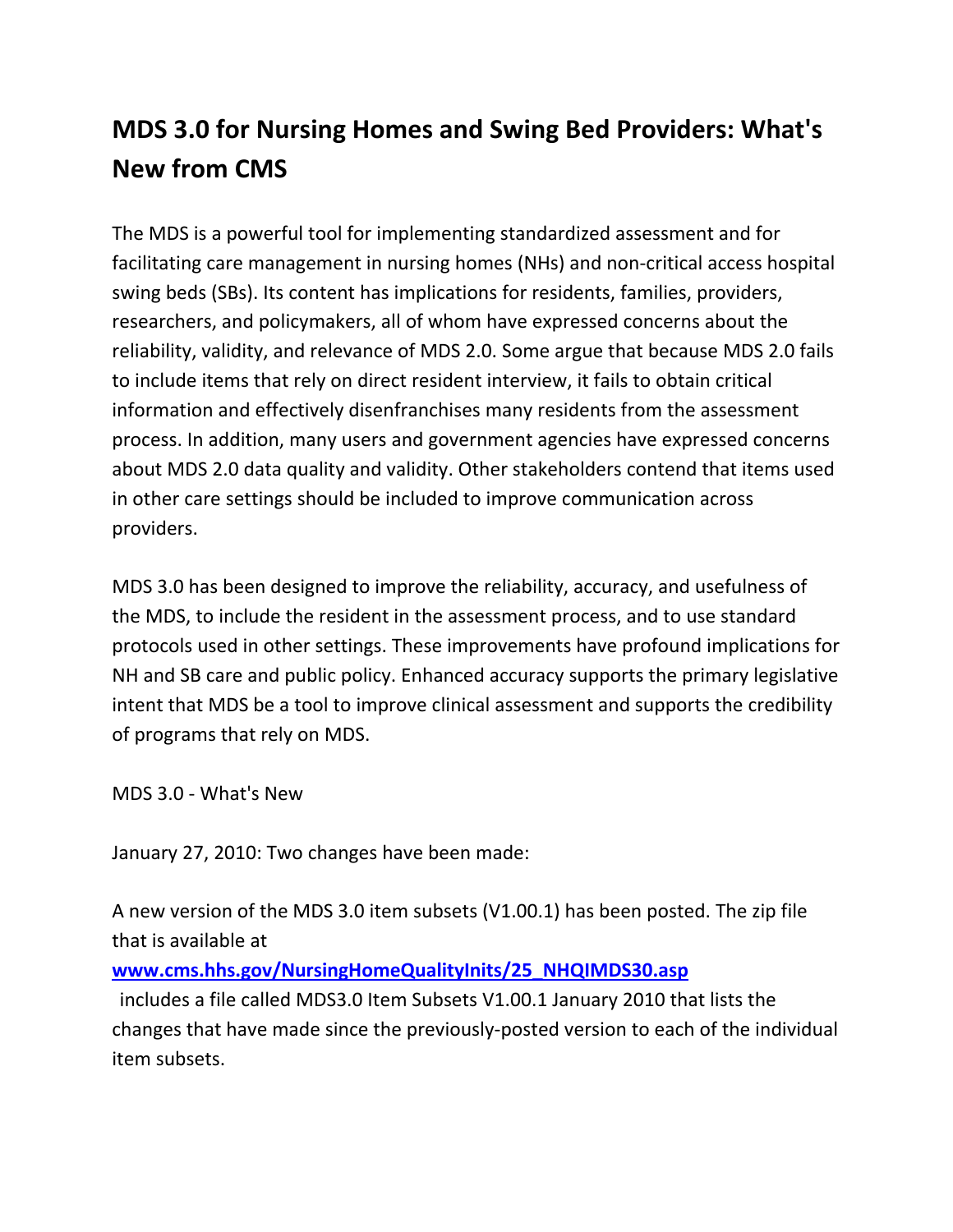## **MDS 3.0 for Nursing Homes and Swing Bed Providers: What's New from CMS**

The MDS is a powerful tool for implementing standardized assessment and for facilitating care management in nursing homes (NHs) and non‐critical access hospital swing beds (SBs). Its content has implications for residents, families, providers, researchers, and policymakers, all of whom have expressed concerns about the reliability, validity, and relevance of MDS 2.0. Some argue that because MDS 2.0 fails to include items that rely on direct resident interview, it fails to obtain critical information and effectively disenfranchises many residents from the assessment process. In addition, many users and government agencies have expressed concerns about MDS 2.0 data quality and validity. Other stakeholders contend that items used in other care settings should be included to improve communication across providers.

MDS 3.0 has been designed to improve the reliability, accuracy, and usefulness of the MDS, to include the resident in the assessment process, and to use standard protocols used in other settings. These improvements have profound implications for NH and SB care and public policy. Enhanced accuracy supports the primary legislative intent that MDS be a tool to improve clinical assessment and supports the credibility of programs that rely on MDS.

MDS 3.0 ‐ What's New

January 27, 2010: Two changes have been made:

A new version of the MDS 3.0 item subsets (V1.00.1) has been posted. The zip file that is available at

**www.cms.hhs.gov/NursingHomeQualityInits/25\_NHQIMDS30.asp**

 includes a file called MDS3.0 Item Subsets V1.00.1 January 2010 that lists the changes that have made since the previously‐posted version to each of the individual item subsets.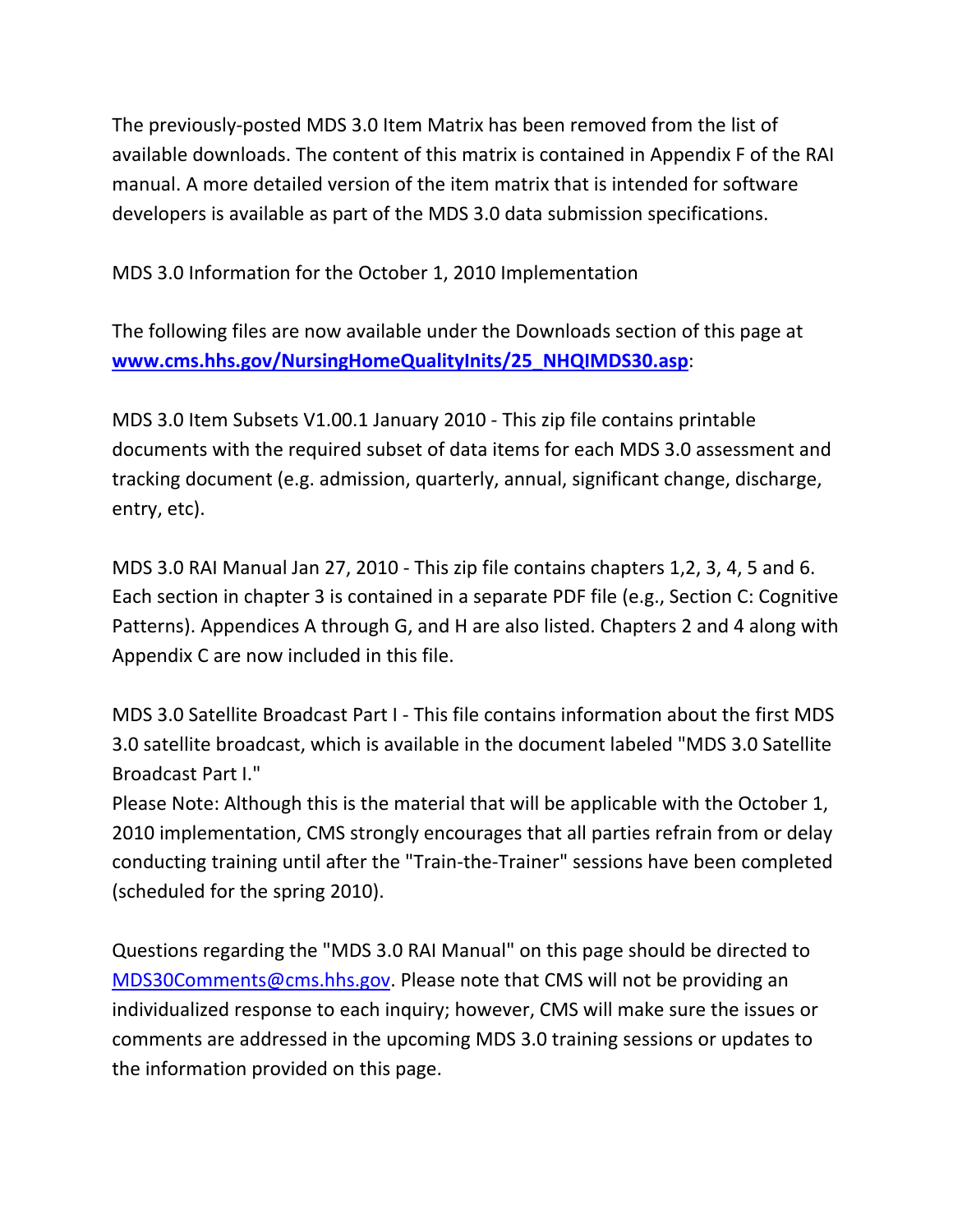The previously‐posted MDS 3.0 Item Matrix has been removed from the list of available downloads. The content of this matrix is contained in Appendix F of the RAI manual. A more detailed version of the item matrix that is intended for software developers is available as part of the MDS 3.0 data submission specifications.

MDS 3.0 Information for the October 1, 2010 Implementation

The following files are now available under the Downloads section of this page at **www.cms.hhs.gov/NursingHomeQualityInits/25\_NHQIMDS30.asp**:

MDS 3.0 Item Subsets V1.00.1 January 2010 ‐ This zip file contains printable documents with the required subset of data items for each MDS 3.0 assessment and tracking document (e.g. admission, quarterly, annual, significant change, discharge, entry, etc).

MDS 3.0 RAI Manual Jan 27, 2010 ‐ This zip file contains chapters 1,2, 3, 4, 5 and 6. Each section in chapter 3 is contained in a separate PDF file (e.g., Section C: Cognitive Patterns). Appendices A through G, and H are also listed. Chapters 2 and 4 along with Appendix C are now included in this file.

MDS 3.0 Satellite Broadcast Part I ‐ This file contains information about the first MDS 3.0 satellite broadcast, which is available in the document labeled "MDS 3.0 Satellite Broadcast Part I."

Please Note: Although this is the material that will be applicable with the October 1, 2010 implementation, CMS strongly encourages that all parties refrain from or delay conducting training until after the "Train‐the‐Trainer" sessions have been completed (scheduled for the spring 2010).

Questions regarding the "MDS 3.0 RAI Manual" on this page should be directed to MDS30Comments@cms.hhs.gov. Please note that CMS will not be providing an individualized response to each inquiry; however, CMS will make sure the issues or comments are addressed in the upcoming MDS 3.0 training sessions or updates to the information provided on this page.